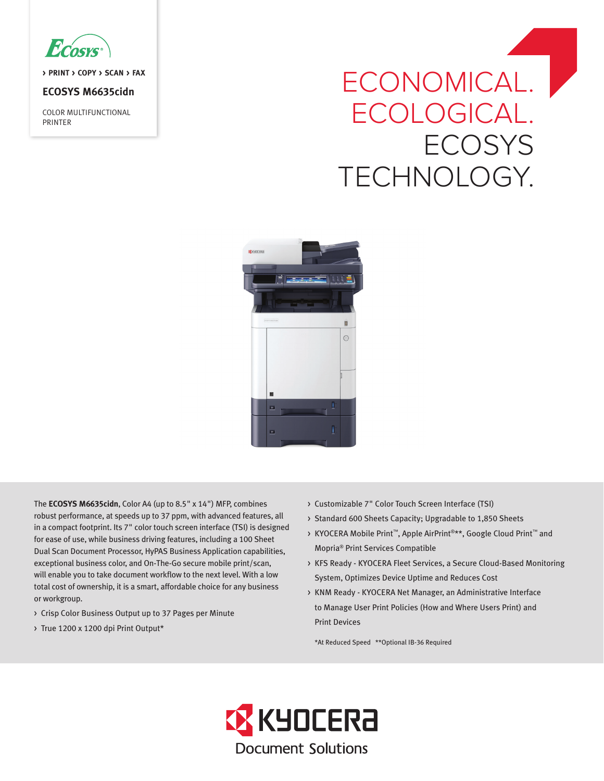

**> PRINT > COPY > SCAN > FAX**

# **ECOSYS M6635cidn**

COLOR MULTIFUNCTIONAL PRINTER

# ECONOMICAL. ECOLOGICAL. **ECOSYS** TECHNOLOGY.



The **ECOSYS M6635cidn**, Color A4 (up to 8.5" x 14") MFP, combines robust performance, at speeds up to 37 ppm, with advanced features, all in a compact footprint. Its 7" color touch screen interface (TSI) is designed for ease of use, while business driving features, including a 100 Sheet Dual Scan Document Processor, HyPAS Business Application capabilities, exceptional business color, and On-The-Go secure mobile print/scan, will enable you to take document workflow to the next level. With a low total cost of ownership, it is a smart, affordable choice for any business or workgroup.

- > Crisp Color Business Output up to 37 Pages per Minute
- > True 1200 x 1200 dpi Print Output\*
- > Customizable 7" Color Touch Screen Interface (TSI)
- > Standard 600 Sheets Capacity; Upgradable to 1,850 Sheets
- > KYOCERA Mobile Print™, Apple AirPrint®\*\*, Google Cloud Print™ and Mopria® Print Services Compatible
- > KFS Ready KYOCERA Fleet Services, a Secure Cloud-Based Monitoring System, Optimizes Device Uptime and Reduces Cost
- > KNM Ready KYOCERA Net Manager, an Administrative Interface to Manage User Print Policies (How and Where Users Print) and Print Devices

\*At Reduced Speed \*\*Optional IB-36 Required